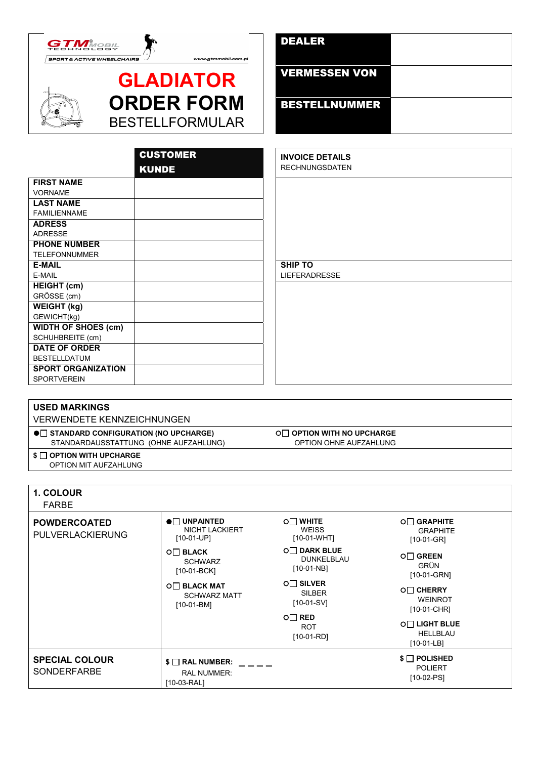



| <b>GLADIATOR</b>       |
|------------------------|
| <b>ORDER FORM</b>      |
| <b>BESTELLFORMULAR</b> |

www.gtmmobil.com.pl

| <b>DEALER</b>        |  |
|----------------------|--|
| <b>VERMESSEN VON</b> |  |
| <b>BESTELLNUMMER</b> |  |

|                            | <b>CUSTOMER</b> | <b>INVOICE DETAILS</b> |
|----------------------------|-----------------|------------------------|
|                            | <b>KUNDE</b>    | <b>RECHNUNGSDATEN</b>  |
| <b>FIRST NAME</b>          |                 |                        |
| <b>VORNAME</b>             |                 |                        |
| <b>LAST NAME</b>           |                 |                        |
| <b>FAMILIENNAME</b>        |                 |                        |
| <b>ADRESS</b>              |                 |                        |
| <b>ADRESSE</b>             |                 |                        |
| <b>PHONE NUMBER</b>        |                 |                        |
| <b>TELEFONNUMMER</b>       |                 |                        |
| <b>E-MAIL</b>              |                 | <b>SHIP TO</b>         |
| E-MAIL                     |                 | <b>LIEFERADRESSE</b>   |
| <b>HEIGHT (cm)</b>         |                 |                        |
| GRÖSSE (cm)                |                 |                        |
| <b>WEIGHT (kg)</b>         |                 |                        |
| GEWICHT(kg)                |                 |                        |
| <b>WIDTH OF SHOES (cm)</b> |                 |                        |
| SCHUHBREITE (cm)           |                 |                        |
| <b>DATE OF ORDER</b>       |                 |                        |
| <b>BESTELLDATUM</b>        |                 |                        |
| <b>SPORT ORGANIZATION</b>  |                 |                        |
| <b>SPORTVEREIN</b>         |                 |                        |

Г

| <b>USED MARKINGS</b>                                                                    |                                              |                                                             |                                 |  |
|-----------------------------------------------------------------------------------------|----------------------------------------------|-------------------------------------------------------------|---------------------------------|--|
| <b>VERWENDETE KENNZEICHNUNGEN</b>                                                       |                                              |                                                             |                                 |  |
| $\bullet$ STANDARD CONFIGURATION (NO UPCHARGE)<br>STANDARDAUSSTATTUNG (OHNE AUFZAHLUNG) |                                              | <b>OF OPTION WITH NO UPCHARGE</b><br>OPTION OHNE AUFZAHLUNG |                                 |  |
| $\mathsf{S} \cap \mathsf{OPTION}$ WITH UPCHARGE<br>OPTION MIT AUFZAHLUNG                |                                              |                                                             |                                 |  |
|                                                                                         |                                              |                                                             |                                 |  |
| <b>1. COLOUR</b><br><b>FARBE</b>                                                        |                                              |                                                             |                                 |  |
| <b>POWDERCOATED</b>                                                                     | $\bullet$ UNPAINTED<br><b>NICHT LACKIERT</b> | O□ WHITE<br><b>WEISS</b>                                    | <b>O</b> □ GRAPHITE<br>GRAPHITE |  |

| <b>PULVERLACKIERUNG</b>                     | <b>NICHT LACKIERT</b>                                                  | <b>WEISS</b>                              | <b>GRAPHITE</b>                                               |
|---------------------------------------------|------------------------------------------------------------------------|-------------------------------------------|---------------------------------------------------------------|
|                                             | $[10-01-UP]$                                                           | $[10-01-WHT]$                             | $[10-01-GR]$                                                  |
|                                             | $O \square$ BLACK                                                      | <b>O</b> □ DARK BLUE                      | $O\Box$ GREEN                                                 |
|                                             | <b>SCHWARZ</b>                                                         | DUNKELBLAU                                | <b>GRÜN</b>                                                   |
|                                             | [10-01-BCK]                                                            | $[10-01-NB]$                              | [10-01-GRN]                                                   |
|                                             | $O\Box$ BLACK MAT                                                      | $O\Box$ SILVER                            | <b>O</b> □ CHERRY                                             |
|                                             | <b>SCHWARZ MATT</b>                                                    | <b>SILBER</b>                             | <b>WEINROT</b>                                                |
|                                             | $[10-01-BM]$                                                           | $[10-01-SV]$                              | [10-01-CHR]                                                   |
|                                             |                                                                        | $O\Box$ RED<br><b>ROT</b><br>$[10-01-RD]$ | <b>O</b> LIGHT BLUE<br><b>HELLBLAU</b><br>$[10-01-LB]$        |
| <b>SPECIAL COLOUR</b><br><b>SONDERFARBE</b> | $\mathcal{S} \square$ RAL NUMBER:<br><b>RAL NUMMER:</b><br>[10-03-RAL] |                                           | $\mathcal{S} \cap$ POLISHED<br><b>POLIERT</b><br>$[10-02-PS]$ |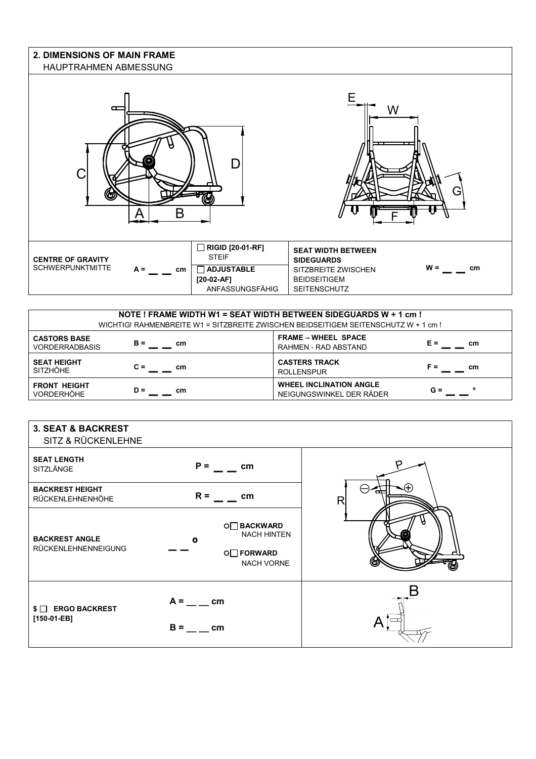### **2. DIMENSIONS OF MAIN FRAME**  HAUPTRAHMEN ABMESSUNG



|                       |           | NOTE ! FRAME WIDTH W1 = SEAT WIDTH BETWEEN SIDEGUARDS W + 1 cm !<br>WICHTIG! RAHMENBREITE W1 = SITZBREITE ZWISCHEN BEIDSEITIGEM SEITENSCHUTZ W + 1 cm ! |           |
|-----------------------|-----------|---------------------------------------------------------------------------------------------------------------------------------------------------------|-----------|
| <b>CASTORS BASE</b>   | $B =$     | <b>FRAME - WHEEL SPACE</b>                                                                                                                              | E =       |
| <b>VORDERRADBASIS</b> | cm        | RAHMEN - RAD ABSTAND                                                                                                                                    | cm        |
| <b>SEAT HEIGHT</b>    | $C =$     | <b>CASTERS TRACK</b>                                                                                                                                    | F =       |
| <b>SITZHÖHE</b>       | <b>cm</b> | <b>ROLLENSPUR</b>                                                                                                                                       | cm        |
| <b>FRONT HEIGHT</b>   | $D =$     | <b>WHEEL INCLINATION ANGLE</b>                                                                                                                          | $\bullet$ |
| <b>VORDERHÖHE</b>     | <b>cm</b> | NEIGUNGSWINKEL DER RÄDER                                                                                                                                | $G =$     |

| <b>3. SEAT &amp; BACKREST</b><br>SITZ & RÜCKENLEHNE |                                                                                                   |   |
|-----------------------------------------------------|---------------------------------------------------------------------------------------------------|---|
| <b>SEAT LENGTH</b><br>SITZLÄNGE                     | $P =$<br>cm                                                                                       |   |
| <b>BACKREST HEIGHT</b><br>RÜCKENLEHNENHÖHE          | $R =$<br>cm                                                                                       | R |
| <b>BACKREST ANGLE</b><br>RÜCKENLEHNENNEIGUNG        | <b>O</b> □ BACKWARD<br><b>NACH HINTEN</b><br>$\mathbf o$<br><b>O</b> FORWARD<br><b>NACH VORNE</b> |   |
| $\text{\$} \square$ ERGO BACKREST<br>$[150-01-EB]$  | $A =$ _ _ _ cm<br>$B =$<br>cm                                                                     |   |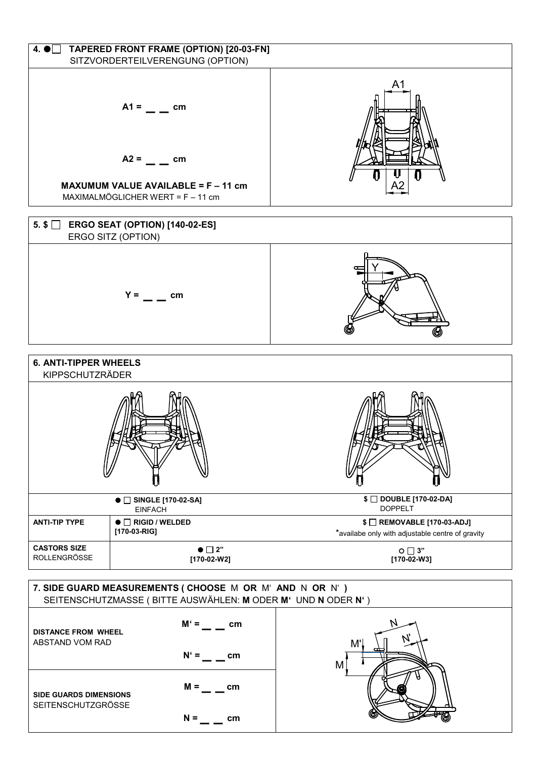

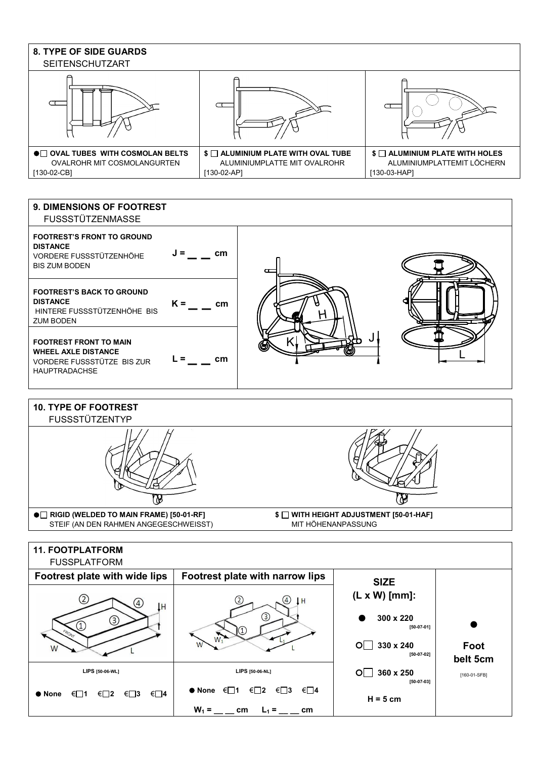

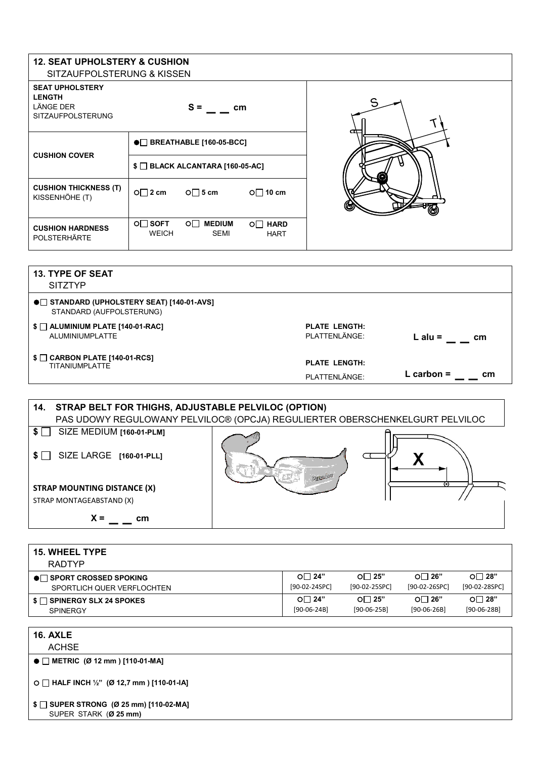### **12. SEAT UPHOLSTERY & CUSHION**  SITZAUFPOLSTERUNG & KISSEN

| SITZAUFPOLSTERUNG & KISSEN                                                              |                                                |                       |                        |     |
|-----------------------------------------------------------------------------------------|------------------------------------------------|-----------------------|------------------------|-----|
| <b>SEAT UPHOLSTERY</b><br><b>LENGTH</b><br><b>LÄNGE DER</b><br><b>SITZAUFPOLSTERUNG</b> | $S =$                                          | cm                    |                        |     |
| <b>CUSHION COVER</b>                                                                    | $\bullet$ BREATHABLE [160-05-BCC]              |                       |                        |     |
|                                                                                         | $\text{\$}$ $\Box$ BLACK ALCANTARA [160-05-AC] |                       |                        |     |
| <b>CUSHION THICKNESS (T)</b><br>KISSENHÖHE (T)                                          | $O \square 2$ cm<br>$O \square$ 5 cm           |                       | $O \square$ 10 cm      | رت) |
| <b>CUSHION HARDNESS</b><br><b>POLSTERHÄRTE</b>                                          | $O\Box$ SOFT<br>ο⊟<br><b>WEICH</b>             | <b>MEDIUM</b><br>SEMI | O□ HARD<br><b>HART</b> |     |

| <b>13. TYPE OF SEAT</b><br><b>SITZTYP</b>                              |                      |              |
|------------------------------------------------------------------------|----------------------|--------------|
| ●□ STANDARD (UPHOLSTERY SEAT) [140-01-AVS]<br>STANDARD (AUFPOLSTERUNG) |                      |              |
| $$ \Box$ ALUMINIUM PLATE [140-01-RAC]                                  | <b>PLATE LENGTH:</b> | L alu $=$    |
| ALUMINIUMPLATTE                                                        | PLATTENLÄNGE:        | cm           |
| $\text{\$}$ $\Box$ CARBON PLATE [140-01-RCS]                           | <b>PLATE LENGTH:</b> | L carbon $=$ |
| <b>TITANIUMPLATTE</b>                                                  | PLATTENLÄNGE:        | cm           |



| <b>15. WHEEL TYPE</b>                                                |                              |                               |                              |                               |
|----------------------------------------------------------------------|------------------------------|-------------------------------|------------------------------|-------------------------------|
| <b>RADTYP</b>                                                        |                              |                               |                              |                               |
| $\bullet$ SPORT CROSSED SPOKING<br>SPORTLICH QUER VERFLOCHTEN        | $\circ$ 24"<br>[90-02-24SPC] | O $\Box$ 25"<br>[90-02-25SPC] | $\circ$ 26"<br>[90-02-26SPC] | O $\Box$ 28"<br>[90-02-28SPC] |
| $\mathsf{S} \cap \mathsf{SPINERGY}$ SLX 24 SPOKES<br><b>SPINERGY</b> | $\circ$ 24"<br>$[90-06-24B]$ | $\circ$ 25"<br>$[90-06-25B]$  | $\circ$ 26"<br>$[90-06-26B]$ | O $\Box$ 28"<br>$[90-06-28B]$ |
|                                                                      |                              |                               |                              |                               |

**16. AXLE** 

ACHSE

● □ METRIC (Ø 12 mm ) [110-01-MA]

- **HALF INCH ½" (Ø 12,7 mm ) [110-01-IA]** 

|  |  |                       | \$ □ SUPER STRONG (Ø 25 mm) [110-02-MA] |
|--|--|-----------------------|-----------------------------------------|
|  |  | SUPER STARK (Ø 25 mm) |                                         |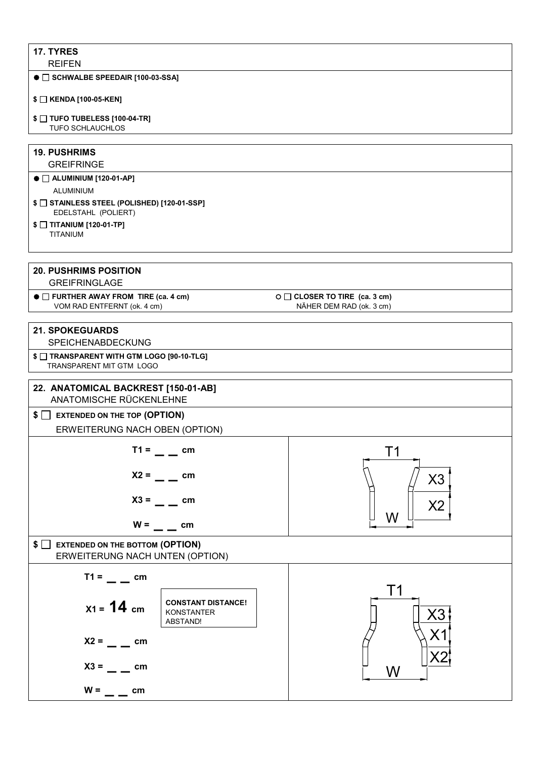### **17. TYRES**

REIFEN

#### ● □ SCHWALBE SPEEDAIR [100-03-SSA]

#### **\$ KENDA [100-05-KEN]**

- **\$ TUFO TUBELESS [100-04-TR]**
- TUFO SCHLAUCHLOS

#### **19. PUSHRIMS GREIFRINGE**

## ● □ ALUMINIUM [120-01-AP]

ALUMINIUM

**\$ STAINLESS STEEL (POLISHED) [120-01-SSP]** EDELSTAHL (POLIERT)

## **\$ TITANIUM [120-01-TP]**

TITANIUM

## **20. PUSHRIMS POSITION**

GREIFRINGLAGE

● □ FURTHER AWAY FROM TIRE (ca. 4 cm) VOM RAD ENTFERNT (ok. 4 cm)

**O** □ CLOSER TO TIRE (ca. 3 cm) NÄHER DEM RAD (ok. 3 cm)

## **21. SPOKEGUARDS**  SPEICHENABDECKUNG **\$ TRANSPARENT WITH GTM LOGO [90-10-TLG]** TRANSPARENT MIT GTM LOGO **22. ANATOMICAL BACKREST [150-01-AB]**  ANATOMISCHE RÜCKENLEHNE **\$ EXTENDED ON THE TOP (OPTION)**  ERWEITERUNG NACH OBEN (OPTION)  $T1 = \_ = \_$  cm  $X2 = \_$  cm  $X3 = \_$  <del>cm</del>  $W =$  \_  $\frac{1}{2}$  cm **\$ EXTENDED ON THE BOTTOM (OPTION)**  ERWEITERUNG NACH UNTEN (OPTION)  $T1 = \_ = \_$  cm  **X1 = 14 cm CONSTANT DISTANCE!** KONSTANTER ABSTAND!  $X2 = \_ \_ \text{cm}$  $X3 =$ **cm**  $W =$  \_ \_ cm T1W X3  $X<sub>2</sub>$  ${\sf W}$ T1 X2 X3 X1